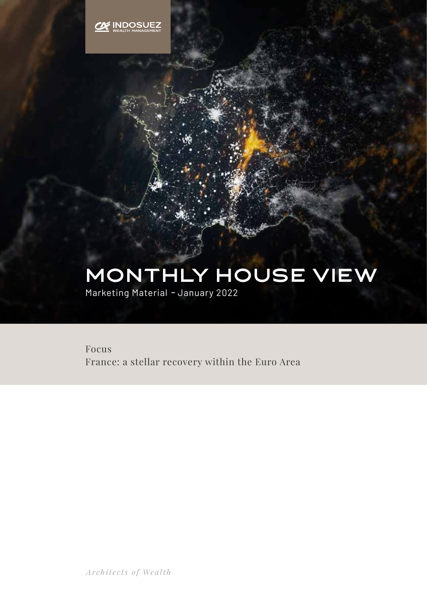

# MONTHLY HOUSE VIEw

Marketing Material **-** January 2022

Focus France: a stellar recovery within the Euro Area

Architects of Wealth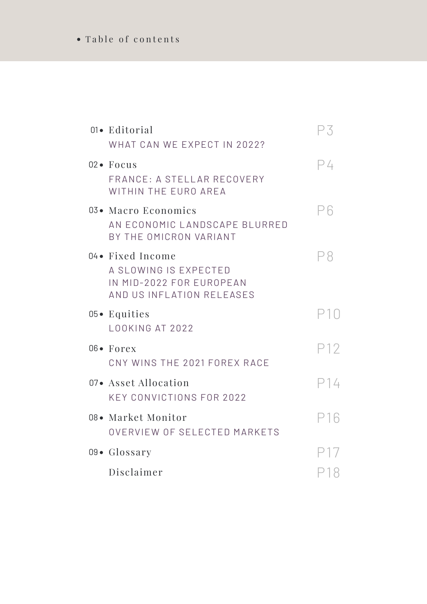## Table of contents

| 01• Editorial<br>WHAT CAN WE EXPECT IN 2022?                                                        | Р3  |
|-----------------------------------------------------------------------------------------------------|-----|
| $02 \bullet$ Focus<br>FRANCE: A STELLAR RECOVERY<br>WITHIN THE EURO AREA                            | ⊃4  |
| 03• Macro Economics<br>AN ECONOMIC LANDSCAPE BLURRED<br>BY THE OMICRON VARIANT                      | Рĥ  |
| 04 • Fixed Income<br>A SLOWING IS EXPECTED<br>IN MID-2022 FOR EUROPEAN<br>AND US INFLATION RELEASES | P8  |
| $05 \bullet$ Equities<br>LOOKING AT 2022                                                            |     |
| 06• Forex<br>CNY WINS THE 2021 FOREX RACE                                                           | P12 |
| 07• Asset Allocation<br><b>KEY CONVICTIONS FOR 2022</b>                                             | P14 |
| 08• Market Monitor<br>OVERVIEW OF SELECTED MARKETS                                                  | P16 |
| 09• Glossary                                                                                        |     |
| Disclaimer                                                                                          | P18 |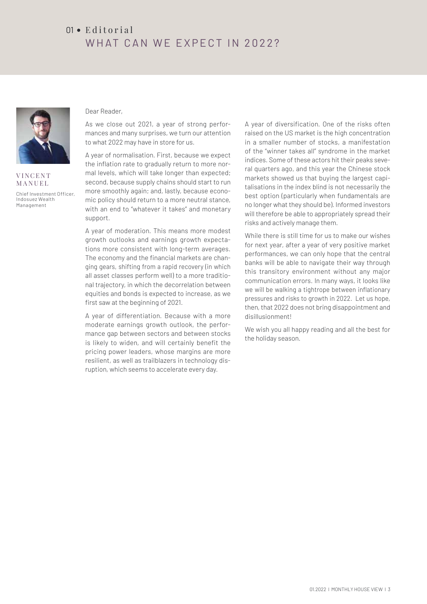## $01 \cdot$  Editorial WHAT CAN WE EXPECT IN 2022?



**VINCENT** MANUEL Chief Investment Officer, Indosuez Wealth Management

#### Dear Reader,

As we close out 2021, a year of strong performances and many surprises, we turn our attention to what 2022 may have in store for us.

A year of normalisation. First, because we expect the inflation rate to gradually return to more normal levels, which will take longer than expected; second, because supply chains should start to run more smoothly again; and, lastly, because economic policy should return to a more neutral stance, with an end to "whatever it takes" and monetary support.

A year of moderation. This means more modest growth outlooks and earnings growth expectations more consistent with long-term averages. The economy and the financial markets are changing gears, shifting from a rapid recovery (in which all asset classes perform well) to a more traditional trajectory, in which the decorrelation between equities and bonds is expected to increase, as we first saw at the beginning of 2021.

A year of differentiation. Because with a more moderate earnings growth outlook, the performance gap between sectors and between stocks is likely to widen, and will certainly benefit the pricing power leaders, whose margins are more resilient, as well as trailblazers in technology disruption, which seems to accelerate every day.

A year of diversification. One of the risks often raised on the US market is the high concentration in a smaller number of stocks, a manifestation of the "winner takes all" syndrome in the market indices. Some of these actors hit their peaks several quarters ago, and this year the Chinese stock markets showed us that buying the largest capitalisations in the index blind is not necessarily the best option (particularly when fundamentals are no longer what they should be). Informed investors will therefore be able to appropriately spread their risks and actively manage them.

While there is still time for us to make our wishes for next year, after a year of very positive market performances, we can only hope that the central banks will be able to navigate their way through this transitory environment without any major communication errors. In many ways, it looks like we will be walking a tightrope between inflationary pressures and risks to growth in 2022. Let us hope, then, that 2022 does not bring disappointment and disillusionment!

We wish you all happy reading and all the best for the holiday season.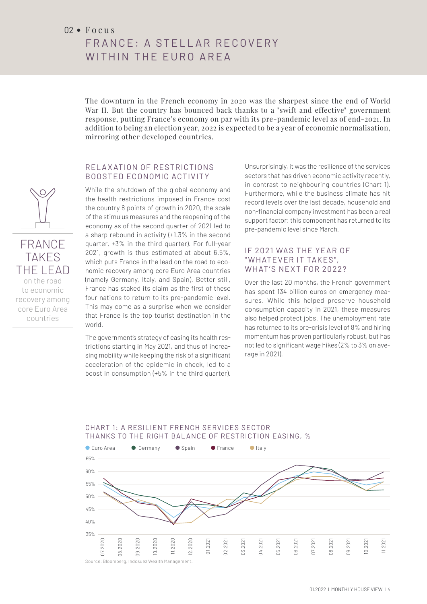#### $02 \cdot F_0$  cus

FRANCE TAKES THE LEAD on the road to economic recovery among core Euro Area countries

# FRANCE: A STELLAR RECOVERY WITHIN THE EURO ARFA

The downturn in the French economy in 2020 was the sharpest since the end of World War II. But the country has bounced back thanks to a "swift and effective" government response, putting France's economy on par with its pre-pandemic level as of end-2021. In addition to being an election year, 2022 is expected to be a year of economic normalisation, mirroring other developed countries.

#### RELAXATION OF RESTRICTIONS BOOSTED ECONOMIC ACTIVITY

While the shutdown of the global economy and the health restrictions imposed in France cost the country 8 points of growth in 2020, the scale of the stimulus measures and the reopening of the economy as of the second quarter of 2021 led to a sharp rebound in activity (+1.3% in the second quarter, +3% in the third quarter). For full-year 2021, growth is thus estimated at about 6.5%, which puts France in the lead on the road to economic recovery among core Euro Area countries (namely Germany, Italy, and Spain). Better still, France has staked its claim as the first of these four nations to return to its pre-pandemic level. This may come as a surprise when we consider that France is the top tourist destination in the world.

The government's strategy of easing its health restrictions starting in May 2021, and thus of increasing mobility while keeping the risk of a significant acceleration of the epidemic in check, led to a boost in consumption (+5% in the third quarter).

Unsurprisingly, it was the resilience of the services sectors that has driven economic activity recently, in contrast to neighbouring countries (Chart 1). Furthermore, while the business climate has hit record levels over the last decade, household and non-financial company investment has been a real support factor: this component has returned to its pre-pandemic level since March.

#### IF 2021 WAS THE YEAR OF " WHATEVER IT TAKES", WHAT'S NEXT FOR 2022?

Over the last 20 months, the French government has spent 134 billion euros on emergency measures. While this helped preserve household consumption capacity in 2021, these measures also helped protect jobs. The unemployment rate has returned to its pre-crisis level of 8% and hiring momentum has proven particularly robust, but has not led to significant wage hikes (2% to 3% on average in 2021).



#### CHART 1: A RESILIENT FRENCH SERVICES SECTOR THANKS TO THE RIGHT BALANCE OF RESTRICTION EASING, %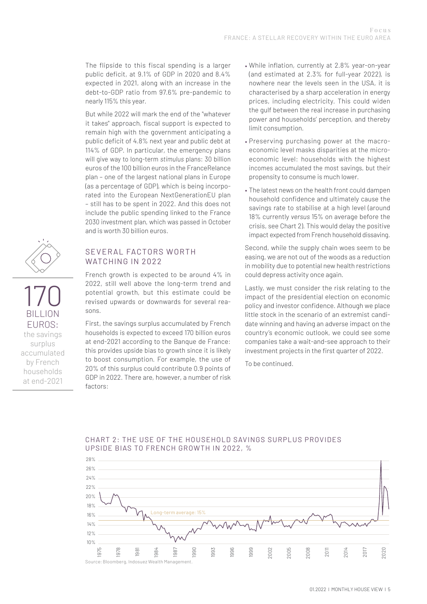The flipside to this fiscal spending is a larger public deficit, at 9.1% of GDP in 2020 and 8.4% expected in 2021, along with an increase in the debt-to-GDP ratio from 97.6% pre-pandemic to nearly 115% this year.

But while 2022 will mark the end of the "whatever it takes" approach, fiscal support is expected to remain high with the government anticipating a public deficit of 4.8% next year and public debt at 114% of GDP. In particular, the emergency plans will give way to long-term *stimulus* plans: 30 billion euros of the 100 billion euros in the FranceRelance plan – one of the largest national plans in Europe (as a percentage of GDP), which is being incorporated into the European NextGenerationEU plan – still has to be spent in 2022. And this does not include the public spending linked to the France 2030 investment plan, which was passed in October and is worth 30 billion euros.

#### SEVERAL FACTORS WORTH WATCHING IN 2022

170

BILLION EUROS: the savings surplus accumulated by French households at end-2021

French growth is expected to be around 4% in 2022, still well above the long-term trend and potential growth, but this estimate could be revised upwards or downwards for several reasons.

First, the savings surplus accumulated by French households is expected to exceed 170 billion euros at end-2021 according to the Banque de France: this provides upside bias to growth since it is likely to boost consumption. For example, the use of 20% of this surplus could contribute 0.9 points of GDP in 2022. There are, however, a number of risk 40% factors:

- While inflation, currently at 2.8% year-on-year (and estimated at 2.3% for full-year 2022), is nowhere near the levels seen in the USA, it is characterised by a sharp acceleration in energy prices, including electricity. This could widen the gulf between the real increase in purchasing power and households' perception, and thereby limit consumption.
- Preserving purchasing power at the macroeconomic level masks disparities at the microeconomic level: households with the highest incomes accumulated the most savings, but their propensity to consume is much lower.
- The latest news on the health front could dampen household confidence and ultimately cause the savings rate to stabilise at a high level (around 18% currently *versus* 15% on average before the crisis, see Chart 2). This would delay the positive impact expected from French household dissaving.

Second, while the supply chain woes seem to be easing, we are not out of the woods as a reduction in mobility due to potential new health restrictions could depress activity once again.

Lastly, we must consider the risk relating to the impact of the presidential election on economic policy and investor confidence. Although we place little stock in the scenario of an extremist candidate winning and having an adverse impact on the country's economic outlook, we could see some companies take a wait-and-see approach to their investment projects in the first quarter of 2022.

To be continued.



#### CHART 2: THE USE OF THE HOUSEHOLD SAVINGS SURPLUS PROVIDES UPSIDE BIAS TO FRENCH GROWTH IN 2022, % 30%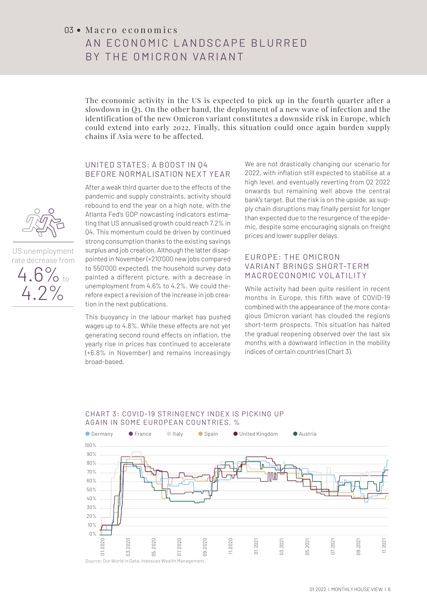#### $03 \bullet$  Macro economics

# AN FCONOMIC LANDSCAPF BLURRED BY THE OMICRON VARIANT

The economic activity in the US is expected to pick up in the fourth quarter after a slowdown in Q3. On the other hand, the deployment of a new wave of infection and the identification of the new Omicron variant constitutes a downside risk in Europe, which could extend into early 2022. Finally, this situation could once again burden supply chains if Asia were to be affected.

#### UNITED STATES: A BOOST IN Q4 BEFORE NORMALISATION NEXT YEAR

After a weak third quarter due to the effects of the pandemic and supply constraints, activity should rebound to end the year on a high note, with the Atlanta Fed's GDP nowcasting indicators estima-<br>ting that US annualised growth could reach 7.2% in ting that US annualised growth could reach 7.2% in Q4. This momentum could be driven by continued strong consumption thanks to the existing savings surplus and job creation. Although the latter disappointed in November (+210'000 new jobs compared to 550'000 expected), the household survey data painted a different picture, with a decrease in unemployment from 4.6% to 4.2%. We could therefore expect a revision of the increase in job creation in the next publications.

This buoyancy in the labour market has pushed wages up to 4.8%. While these effects are not yet generating second round effects on inflation, the yearly rise in prices has continued to accelerate (+6.8% in November) and remains increasingly broad-based.

We are not drastically changing our scenario for 2022, with inflation still expected to stabilise at a high level, and eventually reverting from Q2 2022 onwards but remaining well above the central bank's target. But the risk is on the upside, as supply chain disruptions may finally persist for longer pry chain distuptions may miany persist for longer<br>than expected due to the resurgence of the epidemic, despite some encouraging signals on freight prices and lower supplier delays.

#### EUROPE: THE OMICRON VARIANT BRINGS SHORT-TERM MACROECONOMIC VOLATILITY

While activity had been quite resilient in recent months in Europe, this fifth wave of COVID-19 combined with the appearance of the more contagious Omicron variant has clouded the region's short-term prospects. This situation has halted the gradual reopening observed over the last six months with a downward inflection in the mobility indices of certain countries (Chart 3).



#### CHART 3: COVID-19 STRINGENCY INDEX IS PICKING UP AGAIN IN SOME EUROPEAN COUNTRIES, %



US unemployment rate decrease from

4.6% to 4.2%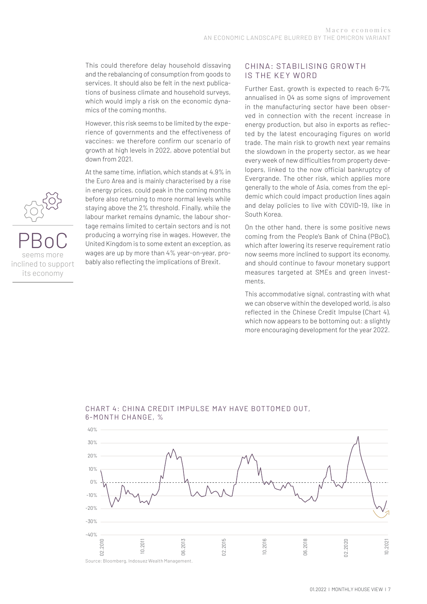This could therefore delay household dissaving and the rebalancing of consumption from goods to services. It should also be felt in the next publications of business climate and household surveys, which would imply a risk on the economic dynamics of the coming months.

However, this risk seems to be limited by the experience of governments and the effectiveness of vaccines: we therefore confirm our scenario of growth at high levels in 2022, above potential but down from 2021.

At the same time, inflation, which stands at 4.9% in 12% the Euro Area and is mainly characterised by a rise In energy prices, could peak in the coming months before also returning to more normal levels while staying above the 2% threshold. Finally, while the labour market remains dynamic, the labour shortage remains limited to certain sectors and is not producing a worrying rise in wages. However, the United Kingdom is to some extent an exception, as wages are up by more than 4% year-on-year, probably also reflecting the implications of Brexit.

#### CHINA: STABILISING GROWTH IS THE KEY WORD

Further East, growth is expected to reach 6-7% annualised in Q4 as some signs of improvement in the manufacturing sector have been observed in connection with the recent increase in energy production, but also in exports as reflected by the latest encouraging figures on world trade. The main risk to growth next year remains the slowdown in the property sector, as we hear every week of new difficulties from property developers, linked to the now official bankruptcy of Evergrande. The other risk, which applies more generally to the whole of Asia, comes from the epidemic which could impact production lines again and delay policies to live with COVID-19, like in South Korea.

On the other hand, there is some positive news coming from the People's Bank of China (PBoC), which after lowering its reserve requirement ratio now seems more inclined to support its economy, and should continue to favour monetary support measures targeted at SMEs and green investments.

This accommodative signal, contrasting with what we can observe within the developed world, is also reflected in the Chinese Credit Impulse (Chart 4), which now appears to be bottoming out: a slightly more encouraging development for the year 2022.



#### CHART 4: CHINA CREDIT IMPULSE MAY HAVE BOTTOMED OUT, 6-MONTH CHANGE, %



### PBoC seems more inclined to support its economy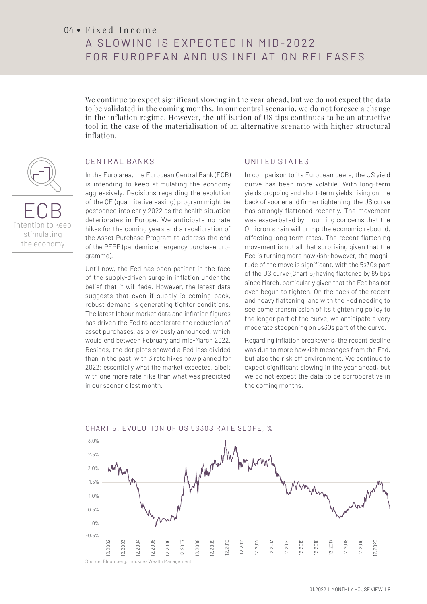#### 04 · Fixed Income

# A SI O WING IS FXP FCT FD IN MID-2022 FOR EUROPEAN AND US INFLATION RELEASES

We continue to expect significant slowing in the year ahead, but we do not expect the data to be validated in the coming months. In our central scenario, we do not foresee a change in the inflation regime. However, the utilisation of US tips continues to be an attractive  $\overline{\phantom{a}}$ tool in the case of the materialisation of an alternative scenario with higher structural inflation. 90%

#### CENTRAL BANKS  $\overline{a}$

ECB intention to keep stimulating the economy

In the Euro area, the European Central Bank (ECB) is intending to keep stimulating the economy<br>aggressively. Decisions regarding the evolution aggressively. Decisions regarding the evolution of the QE (quantitative easing) program might be postponed into early 2022 as the health situation deteriorates in Europe. We anticipate no rate hikes for the coming years and a recalibration of the Asset Purchase Program to address the end of the PEPP (pandemic emergency purchase programme).

Until now, the Fed has been patient in the face of the supply-driven surge in inflation under the belief that it will fade. However, the latest data suggests that even if supply is coming back, robust demand is generating tighter conditions. The latest labour market data and inflation figures has driven the Fed to accelerate the reduction of asset purchases, as previously announced, which would end between February and mid-March 2022. Besides, the dot plots showed a Fed less divided than in the past, with 3 rate hikes now planned for 2022: essentially what the market expected, albeit 2022: essentially what the market expected, albeit<br>with one more rate hike than what was predicted in our scenario last month.

#### UNITED STATES

In comparison to its European peers, the US yield curve has been more volatile. With long-term<br>vields dropping and short-term vields rising on the yields dropping and short-term yields rising on the back of sooner and firmer tightening, the US curve has strongly flattened recently. The movement was exacerbated by mounting concerns that the Omicron strain will crimp the economic rebound, affecting long term rates. The recent flattening movement is not all that surprising given that the Fed is turning more hawkish; however, the magnitude of the move is significant, with the 5s30s part of the US curve (Chart 5) having flattened by 85 bps since March, particularly given that the Fed has not even begun to tighten. On the back of the recent and heavy flattening, and with the Fed needing to see some transmission of its tightening policy to the longer part of the curve, we anticipate a very moderate steepening on 5s30s part of the curve.

Regarding inflation breakevens, the recent decline was due to more hawkish messages from the Fed, but also the risk off environment. We continue to expect significant slowing in the year ahead, but expect significant slowing in the year ahead, but<br>we do not expect the data to be corroborative in the coming months.



#### CHART 5: EVOLUTION OF US 5S30S R ATE SLOPE, %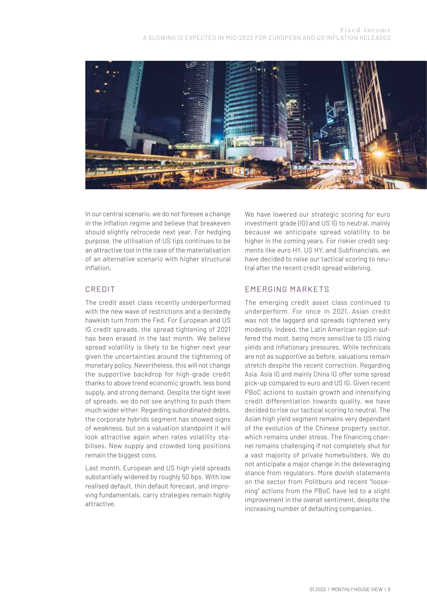

In our central scenario, we do not foresee a change in the inflation regime and believe that breakeven should slightly retrocede next year. For hedging purpose, the utilisation of US tips continues to be an attractive tool in the case of the materialisation of an alternative scenario with higher structural inflation.

#### CREDIT

The credit asset class recently underperformed with the new wave of restrictions and a decidedly hawkish turn from the Fed. For European and US IG credit spreads, the spread tightening of 2021 has been erased in the last month. We believe spread volatility is likely to be higher next year given the uncertainties around the tightening of monetary policy. Nevertheless, this will not change the supportive backdrop for high-grade credit thanks to above trend economic growth, less bond supply, and strong demand. Despite the tight level of spreads, we do not see anything to push them much wider either. Regarding subordinated debts, the corporate hybrids segment has showed signs of weakness, but on a valuation standpoint it will look attractive again when rates volatility stabilises. New supply and crowded long positions remain the biggest cons.

Last month, European and US high yield spreads substantially widened by roughly 50 bps. With low realised default, thin default forecast, and improving fundamentals, carry strategies remain highly attractive.

We have lowered our strategic scoring for euro investment grade (IG) and US IG to neutral, mainly because we anticipate spread volatility to be higher in the coming years. For riskier credit segments like euro HY, US HY, and Subfinancials, we have decided to raise our tactical scoring to neutral after the recent credit spread widening.

#### EMERGING MARKETS

The emerging credit asset class continued to underperform. For once in 2021, Asian credit was not the laggard and spreads tightened very modestly. Indeed, the Latin American region suffered the most, being more sensitive to US rising yields and inflationary pressures. While technicals are not as supportive as before, valuations remain stretch despite the recent correction. Regarding Asia, Asia IG and mainly China IG offer some spread pick-up compared to euro and US IG. Given recent PBoC actions to sustain growth and intensifying credit differentiation towards quality, we have decided to rise our tactical scoring to neutral. The Asian high yield segment remains very dependant of the evolution of the Chinese property sector, which remains under stress. The financing channel remains challenging if not completely shut for a vast majority of private homebuilders. We do not anticipate a major change in the deleveraging stance from regulators. More dovish statements on the sector from Politburo and recent "loosening" actions from the PBoC have led to a slight improvement in the overall sentiment, despite the increasing number of defaulting companies.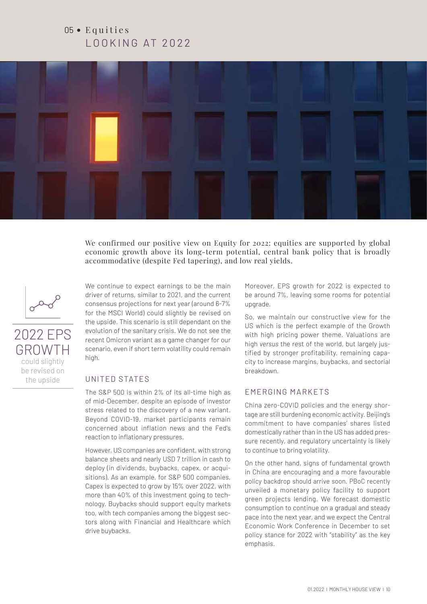# $05 \bullet$  Equities LOOKING AT 2022



We confirmed our positive view on Equity for 2022: equities are supported by global economic growth above its long-term potential, central bank policy that is broadly accommodative (despite Fed tapering), and low real yields.



2022 EPS GROWTH could slightly be revised on the upside

We continue to expect earnings to be the main driver of returns, similar to 2021, and the current consensus projections for next year (around 6-7% for the MSCI World) could slightly be revised on the upside. This scenario is still dependant on the evolution of the sanitary crisis. We do not see the recent Omicron variant as a game changer for our scenario, even if short term volatility could remain high.

#### UNITED STATES

The S&P 500 is within 2% of its all-time high as of mid-December, despite an episode of investor stress related to the discovery of a new variant. Beyond COVID-19, market participants remain concerned about inflation news and the Fed's reaction to inflationary pressures.

However, US companies are confident, with strong balance sheets and nearly USD 7 trillion in cash to deploy (in dividends, buybacks, capex, or acquisitions). As an example, for S&P 500 companies, Capex is expected to grow by 15% over 2022, with more than 40% of this investment going to technology. Buybacks should support equity markets too, with tech companies among the biggest sectors along with Financial and Healthcare which drive buybacks.

Moreover, EPS growth for 2022 is expected to be around 7%, leaving some rooms for potential upgrade.

So, we maintain our constructive view for the US which is the perfect example of the Growth with high pricing power theme. Valuations are high *versus* the rest of the world, but largely justified by stronger profitability, remaining capacity to increase margins, buybacks, and sectorial breakdown.

#### EMERGING MARKETS

China zero-COVID policies and the energy shortage are still burdening economic activity. Beijing's commitment to have companies' shares listed domestically rather than in the US has added pressure recently, and regulatory uncertainty is likely to continue to bring volatility.

On the other hand, signs of fundamental growth in China are encouraging and a more favourable policy backdrop should arrive soon. PBoC recently unveiled a monetary policy facility to support green projects lending. We forecast domestic consumption to continue on a gradual and steady pace into the next year, and we expect the Central Economic Work Conference in December to set policy stance for 2022 with "stability" as the key emphasis.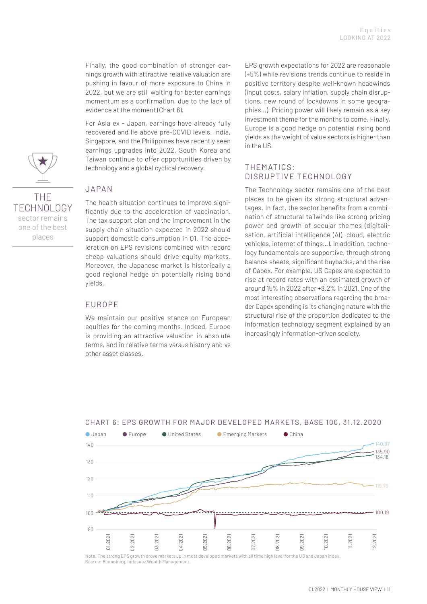Finally, the good combination of stronger earnings growth with attractive relative valuation are pushing in favour of more exposure to China in 2022, but we are still waiting for better earnings momentum as a confirmation, due to the lack of evidence at the moment (Chart 6).

For Asia ex - Japan, earnings have already fully recovered and lie above pre-COVID levels. India, Singapore, and the Philippines have recently seen 10% earnings upgrades into 2022. South Korea and Taiwan continue to offer opportunities driven by rement common to once upper common<br>technology and a global cyclical recovery.

#### **JAPAN**

The health situation continues to improve significantly due to the acceleration of vaccination.<br>The tax support plan and the improvement in the The tax support plan and the improvement in the supply chain situation expected in 2022 should support domestic consumption in Q1. The acceleration on EPS revisions combined with record cheap valuations should drive equity markets. Moreover, the Japanese market is historically a good regional hedge on potentially rising bond yields.

#### EUROPE

We maintain our positive stance on European equities for the coming months. Indeed, Europe is providing an attractive valuation in absolute terms, and in relative terms *versus* history and vs other asset classes.

EPS growth expectations for 2022 are reasonable (+5%) while revisions trends continue to reside in positive territory despite well-known headwinds (input costs, salary inflation, supply chain disruptions, new round of lockdowns in some geographies…). Pricing power will likely remain as a key investment theme for the months to come. Finally, Europe is a good hedge on potential rising bond yields as the weight of value sectors is higher than in the US.

#### THEMATICS: DISRUPTIVE TECHNOLOGY

The Technology sector remains one of the best places to be given its strong structural advantages. In fact, the sector benefits from a combirages. in fact, the sector benefits from a complete<br>nation of structural tailwinds like strong pricing<br>nation and grouth of secular themes (digital) power and growth of secular themes (digitalisation, artificial intelligence (AI), cloud, electric vehicles, internet of things…). In addition, technology fundamentals are supportive, through strong balance sheets, significant buybacks, and the rise of Capex. For example, US Capex are expected to rise at record rates with an estimated growth of around 15% in 2022 after +8.2% in 2021. One of the most interesting observations regarding the broader Capex spending is its changing nature with the structural rise of the proportion dedicated to the information technology segment explained by an increasingly information-driven society.



#### CHART 6: EPS GROWTH FOR MA JOR DE VELOPED MARKETS, BASE 100, 31.12.2020

Note: The strong EPS growth drove markets up in most developed markets with all time high level for the US and Japan index. Source: Bloomberg, Indosuez Wealth Management.

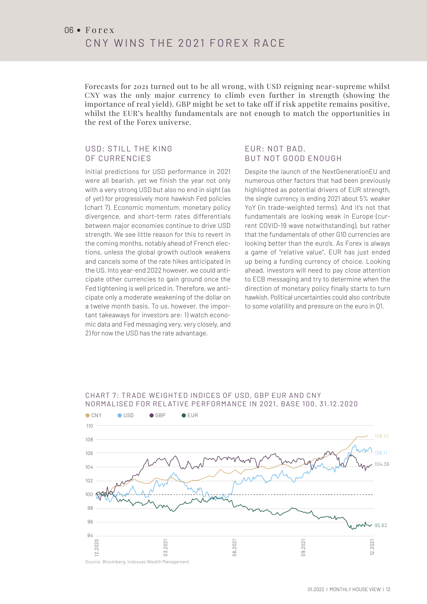Forecasts for 2021 turned out to be all wrong, with USD reigning near-supreme whilst CNY was the only major currency to climb even further in strength (showing the importance of real yield). GBP might be set to take off if risk appetite remains positive, whilst the EUR's healthy fundamentals are not enough to match the opportunities in the rest of the Forex universe.

#### USD: STILL THE KING OF CURRENCIES

Initial predictions for USD performance in 2021 were all bearish, yet we finish the year not only with a very strong USD but also no end in sight (as of yet) for progressively more hawkish Fed policies (chart 7). Economic momentum, monetary policy divergence, and short-term rates differentials<br>between major economies continue to drive USD between major economies continue to drive USD strength. We see little reason for this to revert in the coming months, notably ahead of French elections, unless the global growth outlook weakens and cancels some of the rate hikes anticipated in the US. Into year-end 2022 however, we could anticipate other currencies to gain ground once the Fed tightening is well priced in. Therefore, we anticipate only a moderate weakening of the dollar on a twelve month basis. To us, however, the important takeaways for investors are: 1) watch economic data and Fed messaging very, very closely, and 2) for now the USD has the rate advantage.

#### EUR: NOT BAD, BUT NOT GOOD ENOUGH

Despite the launch of the NextGenerationEU and numerous other factors that had been previously highlighted as potential drivers of EUR strength, the single currency is ending 2021 about 5% weaker YoY (in trade-weighted terms). And it's not that fundamentals are looking weak in Europe (cur-<br>rent COVID-19 wave notwithstanding), but rather rent COVID-19 wave notwithstanding), but rather that the fundamentals of other G10 currencies are looking better than the euro's. As Forex is always a game of "relative value", EUR has just ended up being a funding currency of choice. Looking ahead, investors will need to pay close attention to ECB messaging and try to determine when the direction of monetary policy finally starts to turn hawkish. Political uncertainties could also contribute to some volatility and pressure on the euro in Q1.

#### CHART 7: TR ADE WEIGHTED INDICES OF USD, GBP EUR AND CNY NORMALISED FOR REL ATIVE PERFORMANCE IN 2021, BASE 100, 31.12.2020

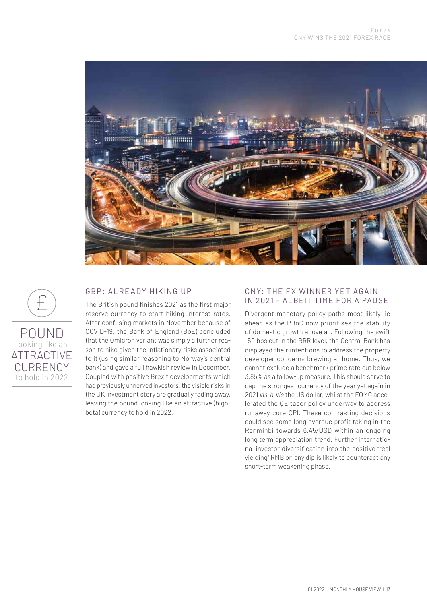

#### GBP: ALREADY HIKING UP

 $\pm$ POUND looking like an **ATTRACTIVE** CURRENCY to hold in 2022

The British pound finishes 2021 as the first major reserve currency to start hiking interest rates. After confusing markets in November because of COVID-19, the Bank of England (BoE) concluded that the Omicron variant was simply a further reason to hike given the inflationary risks associated to it (using similar reasoning to Norway's central bank) and gave a full hawkish review in December. Coupled with positive Brexit developments which had previously unnerved investors, the visible risks in the UK investment story are gradually fading away, leaving the pound looking like an attractive (highbeta) currency to hold in 2022.

#### CNY: THE FX WINNER YET AGAIN IN 2021 – ALBEIT TIME FOR A PAUSE

Divergent monetary policy paths most likely lie ahead as the PBoC now prioritises the stability of domestic growth above all. Following the swift -50 bps cut in the RRR level, the Central Bank has displayed their intentions to address the property developer concerns brewing at home. Thus, we cannot exclude a benchmark prime rate cut below 3.85% as a follow-up measure. This should serve to cap the strongest currency of the year yet again in 2021 *vis-à-vis* the US dollar, whilst the FOMC accelerated the QE taper policy underway to address runaway core CPI. These contrasting decisions could see some long overdue profit taking in the Renminbi towards 6.45/USD within an ongoing long term appreciation trend. Further international investor diversification into the positive "real yielding" RMB on any dip is likely to counteract any short-term weakening phase.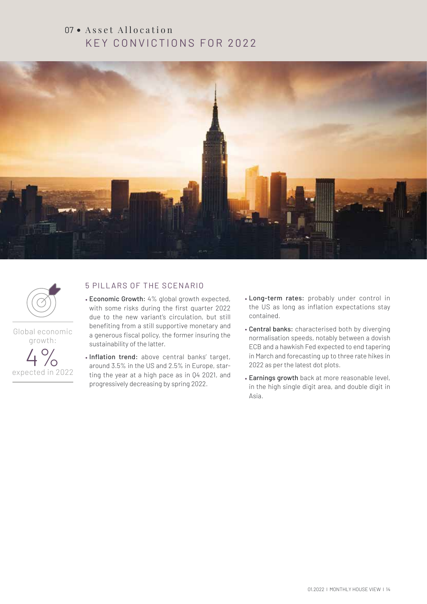## $07 \cdot$  Asset Allocation KEY CONVICTIONS FOR 2022





Global economic growth:



#### 5 PILLARS OF THE SCENARIO

- Economic Growth: 4% global growth expected, with some risks during the first quarter 2022 due to the new variant's circulation, but still benefiting from a still supportive monetary and a generous fiscal policy, the former insuring the sustainability of the latter.
- Inflation trend: above central banks' target, around 3.5% in the US and 2.5% in Europe, starting the year at a high pace as in Q4 2021, and progressively decreasing by spring 2022.
- Long-term rates: probably under control in the US as long as inflation expectations stay contained.
- Central banks: characterised both by diverging normalisation speeds, notably between a dovish ECB and a hawkish Fed expected to end tapering in March and forecasting up to three rate hikes in 2022 as per the latest dot plots.
- Earnings growth back at more reasonable level, in the high single digit area, and double digit in Asia.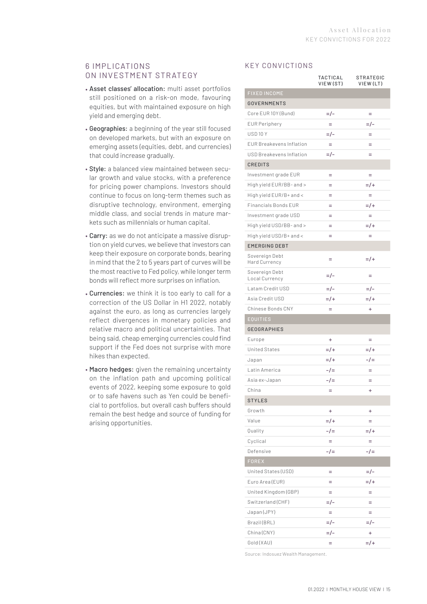#### 6 IMP L ICAT IONS ON INVESTMENT STRATEGY

- Asset classes' allocation: multi asset portfolios still positioned on a risk-on mode, favouring equities, but with maintained exposure on high yield and emerging debt.
- Geographies: a beginning of the year still focused on developed markets, but with an exposure on emerging assets (equities, debt, and currencies) that could increase gradually.
- Style: a balanced view maintained between secular growth and value stocks, with a preference for pricing power champions. Investors should continue to focus on long-term themes such as disruptive technology, environment, emerging middle class, and social trends in mature markets such as millennials or human capital.
- Carry: as we do not anticipate a massive disruption on yield curves, we believe that investors can keep their exposure on corporate bonds, bearing in mind that the 2 to 5 years part of curves will be the most reactive to Fed policy, while longer term bonds will reflect more surprises on inflation.
- Currencies: we think it is too early to call for a correction of the US Dollar in H1 2022, notably against the euro, as long as currencies largely reflect divergences in monetary policies and relative macro and political uncertainties. That being said, cheap emerging currencies could find support if the Fed does not surprise with more hikes than expected.
- Macro hedges: given the remaining uncertainty on the inflation path and upcoming political events of 2022, keeping some exposure to gold or to safe havens such as Yen could be beneficial to portfolios, but overall cash buffers should remain the best hedge and source of funding for arising opportunities.

#### KEY CONVICTIONS

|                                  | TACTICAL<br>VIEW (ST) | STRATEGIC<br>VIEW (LT) |
|----------------------------------|-----------------------|------------------------|
| <b>FIXED INCOME</b>              |                       |                        |
| <b>GOVERNMENTS</b>               |                       |                        |
| Core EUR 10Y (Bund)              | $=$ $/$ -             | Ξ                      |
| <b>EUR Periphery</b>             | $=$                   | $=$ /-                 |
| USD <sub>10</sub> Y              | $=$ / –               | $=$                    |
| <b>EUR Breakevens Inflation</b>  | $=$                   | $=$                    |
| USD Breakevens Inflation         | =/-                   | Ξ                      |
| <b>CREDITS</b>                   |                       |                        |
| Investment grade EUR             | $=$                   | Ξ                      |
| High yield EUR/BB- and >         | Ξ                     | $=$ /+                 |
| High yield EUR/B+ and <          | Ξ                     | $=$                    |
| <b>Financials Bonds EUR</b>      | $=$                   | $=$ /+                 |
| Investment grade USD             | $=$                   | $=$                    |
| High yield USD/BB- and >         | Ξ                     | $=$ /+                 |
| High yield USD/B+ and <          | $=$                   | $=$                    |
| <b>EMERGING DEBT</b>             |                       |                        |
| Sovereign Debt<br>Hard Currency  | $=$                   | $=$ /+                 |
| Sovereign Debt<br>Local Currency | =/-                   | $=$                    |
| Latam Credit USD                 | =/-                   | $=$ /-                 |
| Asia Credit USD                  | $=$ /+                | $=$ /+                 |
| Chinese Bonds CNY                | Ξ                     | $\ddot{}$              |
| <b>EQUITIES</b>                  |                       |                        |
| <b>GEOGRAPHIES</b>               |                       |                        |
| Europe                           | ÷                     | Ξ                      |
| <b>United States</b>             | $=$ /+                | $=$ /+                 |
| Japan                            | $=$ /+                | $-1=$                  |
| Latin America                    | $-1=$                 | Ξ                      |
| Asia ex-Japan                    | -/=                   | Ξ                      |
| China                            | $=$                   | $\ddot{}$              |
| <b>STYLES</b>                    |                       |                        |
| Growth                           | $\ddot{}$             | ÷                      |
| Value                            | $=$ /+                | =                      |
| Quality                          | $-1=$                 | $=$ /+                 |
| Cyclical                         | $=$                   | $=$                    |
| Defensive                        | $-1=$                 | $-1=$                  |
| <b>FOREX</b>                     |                       |                        |
| United States (USD)              | $=$                   | $=$ /-                 |
| Euro Area (EUR)                  | $=$                   | $=$ /+                 |
| United Kingdom (GBP)             | $=$                   | $=$                    |
| Switzerland (CHF)                | =/-                   | Ξ                      |
| Japan (JPY)                      | $=$                   | $=$                    |
| Brazil (BRL)                     | $=$ / –               | $=$ /-                 |
| China (CNY)                      | $=$ /-                | ÷                      |
| Gold (XAU)                       | $=$                   | $=$ /+                 |

Source: Indosuez Wealth Management.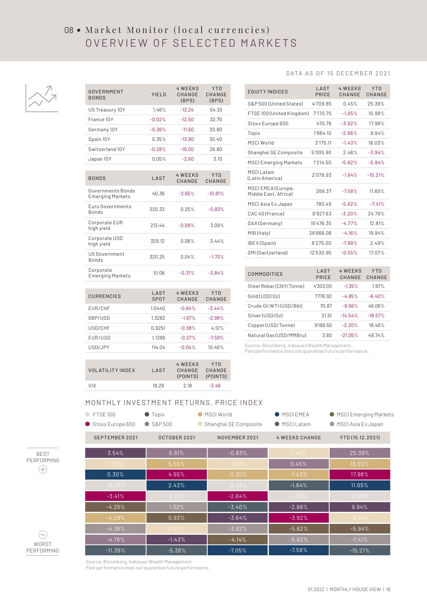# 08 • Market Monitor (local currencies) OVERVIEW OF SELECTED MARKETS

4 WEEKS

Y TD



#### DATA AS OF 15 DECEMBER 2021

| GOVERNMENT<br><b>BONDS</b>                   | YIELD        | <b>4 WEEKS</b><br>CHANGE<br>(BPS) | YTD<br>CHANGE<br>(BPS) |
|----------------------------------------------|--------------|-----------------------------------|------------------------|
| US Treasury 10Y                              | 1.46%        | $-13.24$                          | 54.33                  |
| France 10Y                                   | $-0.02%$     | $-12.50$                          | 32.70                  |
| Germany 10Y                                  | $-0.36%$     | $-11.60$                          | 20.80                  |
| Spain 10Y                                    | 0.35%        | $-13.80$                          | 30.40                  |
| Switzerland 10Y                              | $-0.28%$     | $-16.00$                          | 26.80                  |
| Japan 10Y                                    | 0.05%        | $-2.60$                           | 3.10                   |
|                                              |              |                                   |                        |
| <b>BONDS</b>                                 | LAST         | <b>4 WEEKS</b><br>CHANGE          | <b>YTD</b><br>CHANGE   |
| Governments Bonds<br><b>Emerging Markets</b> | 40.36        | $-2.65%$                          | $-10.81%$              |
| Euro Governments<br><b>Bonds</b>             | 220.33       | 0.25%                             | $-0.83%$               |
| Corporate EUR<br>high yield                  | 213.44       | $-0.09%$                          | 3.09%                  |
| Corporate USD<br>high yield                  | 329.12       | 0.06%                             | 3.44%                  |
| <b>US Government</b><br><b>Bonds</b>         | 320.25       | 0.04%                             | $-1.73%$               |
| Corporate<br><b>Emerging Markets</b>         | 51.06        | $-0.31%$                          | $-3.84%$               |
|                                              |              |                                   |                        |
| <b>CURRENCIES</b>                            | LAST<br>SPOT | <b>4 WEEKS</b><br>CHANGE          | YTD<br>CHANGE          |
| EUR/CHF                                      | 1.0440       | $-0.64%$                          | $-3.44%$               |
| GBP/USD                                      | 1.3262       | $-1.67%$                          | $-2.98%$               |
| USD/CHF                                      | 0.9251       | $-0.38%$                          | 4.51%                  |
| EUR/USD                                      | 1.1289       | $-0.27%$                          | $-7.59%$               |
| USD/JPY                                      | 114.04       | $-0.04%$                          | 10.45%                 |

| <b>EQUITY INDICES</b>                      | LAST<br>PRICE        | <b>4 WEEKS</b><br>CHANGE | <b>YTD</b><br>CHANGE |
|--------------------------------------------|----------------------|--------------------------|----------------------|
| S&P 500 (United States)                    | 4'709.85             | 0.45%                    | 25.39%               |
| FTSE 100 (United Kingdom)                  | 7'170.75             | $-1.65%$                 | 10.99%               |
| Stoxx Europe 600                           | 470.76               | $-3.92%$                 | 17.98%               |
| Topix                                      | 1'984.10             | $-2.66%$                 | 9.94%                |
| <b>MSCI World</b>                          | 3'175.11             | $-1.43%$                 | 18.03%               |
| Shanghai SE Composite                      | 5'005.90             | 2.46%                    | $-3.94%$             |
| <b>MSCI Emerging Markets</b>               | 1'214.50             | $-5.62%$                 | $-5.94%$             |
| <b>MSCILatam</b><br>(Latin America)        | 2'078.93             | $-1.64%$                 | $-15.21%$            |
| MSCI EMEA (Europe,<br>Middle East, Africa) | 269.37               | $-7.58%$                 | 11.65%               |
| MSCI Asia Ex Japan                         | 780.45               | $-5.62%$                 | $-7.41%$             |
| CAC 40 (France)                            | 6'927.63             | $-3.20%$                 | 24.79%               |
| DAX(Germany)                               | 15'476.35            | $-4.77%$                 | 12.81%               |
| MIB (Italy)                                | 26'666.08            | $-4.16%$                 | 19.94%               |
| IBEX(Spain)                                | 8'275.00             | $-7.99%$                 | 2.49%                |
| SMI (Switzerland)                          | 12'530.95            | $-0.55%$                 | 17.07%               |
|                                            |                      |                          |                      |
| <b>COMMODITIES</b>                         | LAST<br><b>PRICE</b> | <b>4 WEEKS</b><br>CHANGE | <b>YTD</b><br>CHANGE |
| Steel Rebar (CNY/Tonne)                    | 4'303.00             | $-1.35%$                 | 1.97%                |
| Gold (USD/0z)                              | 1'776.92             | $-4.85%$                 | $-6.40%$             |
| Crude Oil WTI (USD/Bbl)                    | 70.87                | $-9.56%$                 | 46.06%               |

| Steel Rebar (CNY/Tonne) | 4'303.00 | $-1.35%$  | 1.97%     |
|-------------------------|----------|-----------|-----------|
| Gold (USD/0z)           | 1'776.92 | $-4.85%$  | $-6.40%$  |
| Crude Oil WTI (USD/Bbl) | 70.87    | $-9.56%$  | 46.06%    |
| Silver (USD/0z)         | 21.51    | $-14.54%$ | $-18.57%$ |
| Copper (USD/Tonne)      | 9'199.50 | $-2.20%$  | 18.46%    |
| Natural Gas (USD/MMBtu) | 3.80     | $-21.05%$ | 49.74%    |

Source: Bloomberg, Indosuez Wealth Management. Past performance does not guarantee future performance.

| VOL ATILITY INDEX | <b>LAST</b> | 4 WFFKS<br>CHANGE<br>(POINTS) (POINTS) | YTD<br>CHANGE |
|-------------------|-------------|----------------------------------------|---------------|
| <b>VIX</b>        | 19.29       | 2.18                                   | $-3.46$       |

#### MONTHLY INVESTMENT RETURNS, PRICE INDEX

| <b>FTSE 100</b><br>Stoxx Europe 600 | $\bullet$ Topix<br>$\bullet$ S&P500 | MSCI World<br>Shanghai SE Composite | MSCIEMEA<br>● MSCII atam | ● MSCI Emerging Markets<br>● MSCI Asia Ex Japan |
|-------------------------------------|-------------------------------------|-------------------------------------|--------------------------|-------------------------------------------------|
| SEPTEMBER 2021                      | OCTOBER 2021                        | NOVEMBER 2021                       | <b>4 WEEKS CHANGE</b>    | YTD (15.12.2021)                                |
| 3.54%                               | 6.91%                               | $-0.83%$                            | 2.46%                    | 25.39%                                          |
| 1.26%                               | 5.59%                               | $-1.56%$                            | 0.45%                    | 18.03%                                          |
| 0.30%                               | 4.55%                               | $-2.30%$                            | $-1.43%$                 | 17.98%                                          |
| $-0.47%$                            | 2.43%                               | $-2.46%$                            | $-1.64%$                 | 11.65%                                          |
| $-3.41%$                            | 2.13%                               | $-2.64%$                            | $-1.65%$                 | 10.99%                                          |
| $-4.25%$                            | 1.32%                               | $-3.40%$                            | $-2.66%$                 | 9.94%                                           |
| $-4.29%$                            | 0.93%                               | $-3.64%$                            | $-3.92%$                 | $-3.94%$                                        |
| $-4.36%$                            | 0.87%                               | $-3.92%$                            | $-5.62%$                 | $-5.94%$                                        |
| $-4.76%$                            | $-1.43%$                            | $-4.14%$                            | $-5.62%$                 | $-7.41%$                                        |
| $-11.39%$                           | $-5.38%$                            | $-7.05%$                            | $-7.58%$                 | $-15.21%$                                       |





Source: Bloomberg, Indosuez Wealth Management.

Past performance does not guarantee future performance.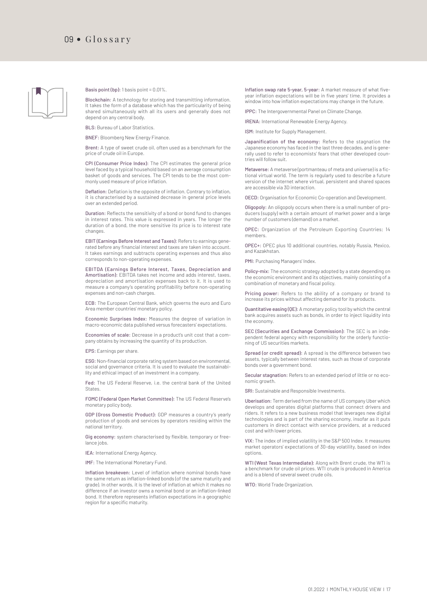

Basis point (bp): 1 basis point = 0.01%.

Blockchain: A technology for storing and transmitting information. It takes the form of a database which has the particularity of being shared simultaneously with all its users and generally does not depend on any central body.

BLS: Bureau of Labor Statistics.

BNEF: Bloomberg New Energy Finance.

Brent: A type of sweet crude oil, often used as a benchmark for the price of crude oil in Europe.

CPI (Consumer Price Index): The CPI estimates the general price level faced by a typical household based on an average consumption basket of goods and services. The CPI tends to be the most commonly used measure of price inflation.

Deflation: Deflation is the opposite of inflation. Contrary to inflation, it is characterised by a sustained decrease in general price levels over an extended period.

Duration: Reflects the sensitivity of a bond or bond fund to changes in interest rates. This value is expressed in years. The longer the duration of a bond, the more sensitive its price is to interest rate changes.

EBIT (Earnings Before Interest and Taxes): Refers to earnings generated before any financial interest and taxes are taken into account. It takes earnings and subtracts operating expenses and thus also corresponds to non-operating expenses.

EBITDA (Earnings Before Interest, Taxes, Depreciation and Amortisation): EBITDA takes net income and adds interest, taxes, depreciation and amortisation expenses back to it. It is used to measure a company's operating profitability before non-operating expenses and non-cash charges.

ECB: The European Central Bank, which governs the euro and Euro Area member countries' monetary policy.

Economic Surprises Index: Measures the degree of variation in macro-economic data published versus forecasters' expectations.

Economies of scale: Decrease in a product's unit cost that a company obtains by increasing the quantity of its production.

EPS: Earnings per share.

ESG: Non-financial corporate rating system based on environmental, social and governance criteria. It is used to evaluate the sustainability and ethical impact of an investment in a company.

Fed: The US Federal Reserve, i.e. the central bank of the United States.

FOMC (Federal Open Market Committee): The US Federal Reserve's monetary policy body.

GDP (Gross Domestic Product): GDP measures a country's yearly production of goods and services by operators residing within the national territory.

Gig economy: system characterised by flexible, temporary or freelance jobs.

IEA: International Energy Agency.

IMF: The International Monetary Fund.

Inflation breakeven: Level of inflation where nominal bonds have the same return as inflation-linked bonds (of the same maturity and grade). In other words, it is the level of inflation at which it makes no difference if an investor owns a nominal bond or an inflation-linked bond. It therefore represents inflation expectations in a geographic region for a specific maturity.

Inflation swap rate 5-year, 5-year: A market measure of what fiveyear inflation expectations will be in five years' time. It provides a window into how inflation expectations may change in the future.

IPPC: The Intergovernmental Panel on Climate Change.

IRENA: International Renewable Energy Agency.

ISM: Institute for Supply Management.

Japanification of the economy: Refers to the stagnation the Japanese economy has faced in the last three decades, and is generally used to refer to economists' fears that other developed countries will follow suit.

Metaverse: A metaverse (portmanteau of meta and universe) is a fictional virtual world. The term is regularly used to describe a future version of the internet where virtual, persistent and shared spaces are accessible via 3D interaction.

OECD: Organisation for Economic Co-operation and Development.

Oligopoly: An oligopoly occurs when there is a small number of producers (supply) with a certain amount of market power and a large number of customers (demand) on a market.

OPEC: Organization of the Petroleum Exporting Countries; 14 members.

OPEC+: OPEC plus 10 additional countries, notably Russia, Mexico, and Kazakhstan.

PMI: Purchasing Managers' Index.

Policy-mix: The economic strategy adopted by a state depending on the economic environment and its objectives, mainly consisting of a combination of monetary and fiscal policy.

Pricing power: Refers to the ability of a company or brand to increase its prices without affecting demand for its products.

Quantitative easing (QE): A monetary policy tool by which the central bank acquires assets such as bonds, in order to inject liquidity into the economy.

SEC (Securities and Exchange Commission): The SEC is an independent federal agency with responsibility for the orderly functioning of US securities markets.

Spread (or credit spread): A spread is the difference between two assets, typically between interest rates, such as those of corporate bonds over a government bond.

Secular stagnation: Refers to an extended period of little or no economic growth.

SRI: Sustainable and Responsible Investments.

Uberisation: Term derived from the name of US company Uber which develops and operates digital platforms that connect drivers and riders. It refers to a new business model that leverages new digital technologies and is part of the sharing economy, insofar as it puts customers in direct contact with service providers, at a reduced cost and with lower prices.

VIX: The index of implied volatility in the S&P 500 Index. It measures market operators' expectations of 30-day volatility, based on index options.

WTI (West Texas Intermediate): Along with Brent crude, the WTI is a benchmark for crude oil prices. WTI crude is produced in America and is a blend of several sweet crude oils.

WTO: World Trade Organization.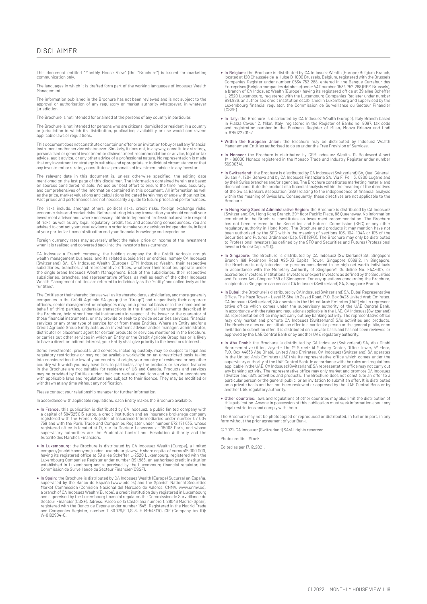This document entitled "Monthly House View" (the "Brochure") is issued for marketing communication only.

The languages in which it is drafted form part of the working languages of Indosuez Wealth Management.

The information published in the Brochure has not been reviewed and is not subject to the a manufacture parallel in the accuratories in the contribution and the temperature of the proval or authorisation of any regulatory or market authority whatsoever, in whate jurisdiction.

The Brochure is not intended for or aimed at the persons of any country in particular.

The Brochure is not intended for persons who are citizens, domiciled or resident in a country or jurisdiction in which its distribution, publication, availability or use would contravene applicable laws or regulations.

This document does not constitute or contain an offer or an invitation to buy or sell any financial instrument and/or service whatsoever. Similarly, it does not, in any way, constitute a strategy, personalised or general investment or disinvestment recommendation or advice, legal or tax<br>advice, audit advice, or any other advice of a professional nature. No representation is made<br>that any investment or strategy is su any investment or strategy constitutes a personalised investment advice to any investor.

The relevant date in this document is, unless otherwise specified, the editing date<br>mentioned on the last page of this disclaimer. The information contained herein are based<br>on sources considered reliable. We use our best and comprehensives of the information contained in this document. All information as well<br>as the price, market valuations and calculations indicated herein may change without notice.<br>Past prices and performances are not ne

The risks include, amongst others, political risks, credit risks, foreign exchange risks, economic risks and market risks. Before entering into any transaction you should consult your<br>investment advisor and, where necessary, obtain independent professional advice in respect<br>of risks, as well as any legal, regul of your particular financial situation and your financial knowledge and experience

Foreign currency rates may adversely affect the value, price or income of the investment when it is realised and converted back into the investor's base currency.

CA Indosuez a French company, the holding company for the Crédit Agricole group's wealth management business, and its related subsidiaries or entities, namely CA Indosuez (Switzerland) SA, CA Indosuez Wealth (Europe), CFM Indosuez Wealth, their respective<br>subsidiaries, branches, and representative offices, whatever their location, operate under<br>the single brand Indosuez Wealth Management. E subsidiaries, branches, and representative offices, as well as each of the other Indosuez Wealth Management entities are referred to individually as the "Entity" and collectively as the "Entities".

The Entities or their shareholders as well as its shareholders, subsidiaries, and more generally<br>companies in the Crédit Agricole SA group (the "Group") and respectively their corporate<br>officers, senior management or emplo services or any other type of service for or from these Entities. Where an Entity and/or a<br>Crédit Agricole Group Entity acts as an investment adviser and/or manager, administrator,<br>distributor or placement agent for certai or carries out other services in which an Entity or the Crédit Agricole Group has or is likely<br>to have a direct or indirect interest, your Entity shall give priority to the investor's interest.

Some investments, products, and services, including custody, may be subject to legal and regulatory restrictions or may not be available worldwide on an unrestricted basis taking into consideration the law of your country of origin, your country of residence or any other<br>country with which you may have ties. In particular, any the products or services featured<br>in the Brochure are not suitable for r may be provided by Entities under their contractual conditions and prices, in accordance<br>with applicable laws and regulations and subject to their licence. They may be modified or<br>withdrawn at any time without any notifica

Please contact your relationship manager for further information.

In accordance with applicable regulations, each Entity makes the Brochure available:

- In France: this publication is distributed by CA Indosuez, a public limited company with a capital of 584325'015 euros, a credit institution and an insurance brokerage company<br>registered with the French Register of Insurance Intermediaries under number 07 004<br>759 and with the Paris Trade and Companies Register registered office is located at 17, rue du Docteur Lancereaux - 75008 Paris, and whose supervisory authorities are the Prudential Control and Resolution Authority and the Autorité des Marchés Financiers.
- In Luxembourg: the Brochure is distributed by CA Indosuez Wealth (Europe), a limited company (société anonyme) under Luxembourg law with share capital of euros 415.000.000, having its registered office at 39 allée Scheff Commission de Surveillance du Secteur Financier (CSSF).
- The Spain: the Brochure is distributed by CA Indosuez Wealth (Europe) Sucursal en España,<br>supervised by the Banco de España (www.bde.es) and the Spanish National Securities<br>Market Commission (Comision Nacional del Mercado a branch of CA Indosuez Wealth (Europe), a credit institution duly registered in Luxembourg<br>and supervised by the Luxembourg financial regulator, the Commission de Surveillance du<br>Secteur Financier (CSSF). Adress: Paseo de and Companies Register, number T 30.176,F 1,S 8, H M-543170, CIF (Company tax ID): W-0182904-C.
- In Belgium: the Brochure is distributed by CA Indosuez Wealth (Europe) Belgium Branch, located at 120 Chaussée de la Hulpe B-1000 Brussels, Belgium, registered with the Brussels<br>Companies Register under number 0534 752 288, entered in the Banque-Carrefour des<br>Entreprises (Belgian companies database) under VA a branch of CA Indosuez Wealth (Europe), having its registered office at 39 allée Scheffer<br>L-2520 Luxembourg, registered with the Luxembourg Companies Register under number<br>B91.986, an authorised credit institution establi Luxembourg financial regulator, the Commission de Surveillance du Secteur Financier  $(C)$
- In Italy: the Brochure is distributed by CA Indosuez Wealth (Europe), Italy Branch based<br>in Piazza Cavour 2, Milan, Italy, registered in the Register of Banks no. 8097, tax code<br>and registration number in the Business Regi n. 97902220157.
- Within the European Union: the Brochure may be distributed by Indosuez Wealth Management Entities authorised to do so under the Free Provision of Services.
- In Monaco: the Brochure is distributed by CFM Indosuez Wealth, 11, Boulevard Albert 1er 98000 Monaco registered in the Monaco Trade and Industry Register under number 56S00341.
- In Switzerland: the Brochure is distributed by CA Indosuez (Switzerland) SA, Quai Général-Guisan 4, 1204 Geneva and by CA Indosuez Finanziaria SA, Via F. Pelli 3, 6900 Lugano and by their Swiss branches and/or agencies. The Brochure constitutes marketing material and<br>does not constitute the product of a financial analysis within the meaning of the directives<br>of the Swiss Bankers Association (SBA) r within the meaning of Swiss law. Consequently, these directives are not applicable to the Brochure.
- In Hong Kong Special Administrative Region: the Brochure is distributed by CA Indosuez (Switzerland) SA, Hong Kong Branch, 29<sup>th</sup> floor Pacific Place, 88 Queensway. No information the Brochure has not been referred to t Investor) Rules (Cap. 571D)).
- In Singapore: the Brochure is distributed by CA Indosuez (Switzerland) SA, Singapore Branch 168 Robinson Road #23-03 Capital Tower, Singapore 068912. In Singapore, the Brochure is only intended for persons considered to and Futures Act, Chapter 289 of Singapore. For any questions concerning the Brochure, recipients in Singapore can contact CA Indosuez (Switzerland) SA, Singapore Branch.
- In Dubai: the Brochure is distributed by CA Indosuez (Switzerland) SA, Dubai Representative Office, The Maze Tower Level 13 Sheikh Zayed Road, P.O. Box 9423 United Arab Emiretes. CA Indosuez (Switzerland) SA operates The Brochure does not constitute an offer to a particular person or the general public, or an invitation to submit an offer. It is distributed on a private basis and has not been reviewed or approved by the UAE Central Bank or by another UAE regulatory authority.
- In Abu Dhabi: the Brochure is distributed by CA Indosuez (Switzerland) SA, Abu Dhabi<br>Representative Office, Zayed The I''' Street- Al Muhairy Center, Office Tower, 4''' Floor,<br>P.O. Box 44836 Abu Dhabi, United Arab Emir in the United Arab Emirates (UAE) via its representative office which comes under the supervisory authority of the UAE Central Bank. In accordance with the rules and regulations applicable in the UAE, CA Indosuez (Switzerland) SA representation office may not carry out any banking activity. The representative office may only market and promote CA Indosuez<br>(Switzerland) SA's activities and products. The Brochure does not constitute an offer to a<br>particular person or the general public, or on a private basis and has not been reviewed or approved by the UAE Central Bank or by another UAE regulatory authority.
- Other countries: laws and regulations of other countries may also limit the distribution of this publication. Anyone in possession of this publication must seek information about any legal restrictions and comply with them.

The Brochure may not be photocopied or reproduced or distributed, in full or in part, in any form without the prior agreement of your Bank

© 2021, CA Indosuez (Switzerland) SA/All rights reserved.

Photo credite: iStock.

Edited as per 17.12.2021.